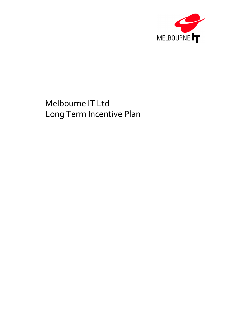

# Melbourne IT Ltd Long Term Incentive Plan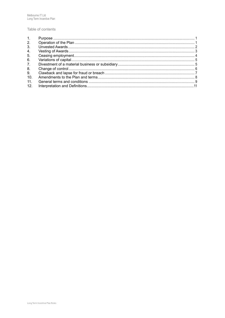#### Table of contents

| 1.              |  |
|-----------------|--|
| 2.              |  |
| 3 <sub>1</sub>  |  |
| 4.              |  |
| 5.              |  |
| 6.              |  |
| 7.              |  |
| 8.              |  |
| 9.              |  |
| 10 <sub>1</sub> |  |
| 11.             |  |
| 12 <sub>1</sub> |  |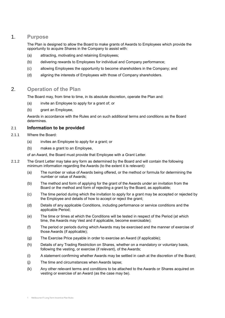## 1. **Purpose**

<span id="page-2-0"></span>The Plan is designed to allow the Board to make grants of Awards to Employees which provide the opportunity to acquire Shares in the Company to assist with:

- (a) attracting, motivating and retaining Employees;
- (b) delivering rewards to Employees for individual and Company performance;
- (c) allowing Employees the opportunity to become shareholders in the Company; and
- (d) aligning the interests of Employees with those of Company shareholders.

## 2. **Operation of the Plan**

<span id="page-2-1"></span>The Board may, from time to time, in its absolute discretion, operate the Plan and:

- (a) invite an Employee to apply for a grant of; or
- (b) grant an Employee,

Awards in accordance with the Rules and on such additional terms and conditions as the Board determines.

## 2.1 **Information to be provided**

- 2.1.1 Where the Board:
	- (a) invites an Employee to apply for a grant; or
	- (b) makes a grant to an Employee,

<span id="page-2-2"></span>of an Award, the Board must provide that Employee with a Grant Letter.

- 2.1.2 The Grant Letter may take any form as determined by the Board and will contain the following minimum information regarding the Awards (to the extent it is relevant):
	- (a) The number or value of Awards being offered, or the method or formula for determining the number or value of Awards;
	- (b) The method and form of applying for the grant of the Awards under an invitation from the Board or the method and form of rejecting a grant by the Board, as applicable;
	- (c) The time period during which the invitation to apply for a grant may be accepted or rejected by the Employee and details of how to accept or reject the grant;
	- (d) Details of any applicable Conditions, including performance or service conditions and the applicable Period;
	- (e) The time or times at which the Conditions will be tested in respect of the Period (at which time, the Awards may Vest and if applicable, become exercisable);
	- (f) The period or periods during which Awards may be exercised and the manner of exercise of those Awards (if applicable);
	- (g) The Exercise Price payable in order to exercise an Award (if applicable);
	- (h) Details of any Trading Restriction on Shares, whether on a mandatory or voluntary basis, following the vesting, or exercise (if relevant), of the Awards;
	- (i) A statement confirming whether Awards may be settled in cash at the discretion of the Board;
	- (j) The time and circumstances when Awards lapse;
	- (k) Any other relevant terms and conditions to be attached to the Awards or Shares acquired on vesting or exercise of an Award (as the case may be).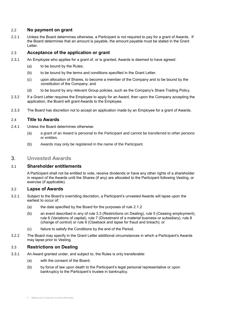## 2.2 **No payment on grant**

2.2.1 Unless the Board determines otherwise, a Participant is not required to pay for a grant of Awards. If the Board determines that an amount is payable, the amount payable must be stated in the Grant Letter.

## 2.3 **Acceptance of the application or grant**

- 2.3.1 An Employee who applies for a grant of, or is granted, Awards is deemed to have agreed:
	- (a) to be bound by the Rules;
	- (b) to be bound by the terms and conditions specified in the Grant Letter;
	- (c) upon allocation of Shares, to become a member of the Company and to be bound by the constitution of the Company; and
	- (d) to be bound by any relevant Group policies, such as the Company's Share Trading Policy.
- 2.3.2 If a Grant Letter requires the Employee to apply for an Award, then upon the Company accepting the application, the Board will grant Awards to the Employee.
- 2.3.3 The Board has discretion not to accept an application made by an Employee for a grant of Awards.

## 2.4 **Title to Awards**

- 2.4.1 Unless the Board determines otherwise:
	- (a) a grant of an Award is personal to the Participant and cannot be transferred to other persons or entities.
	- (b) Awards may only be registered in the name of the Participant.

## <span id="page-3-0"></span>3. **Unvested Awards**

## 3.1 **Shareholder entitlements**

A Participant shall not be entitled to vote, receive dividends or have any other rights of a shareholder in respect of the Awards until the Shares (if any) are allocated to the Participant following Vesting, or exercise (if applicable).

## 3.2 **Lapse of Awards**

- 3.2.1 Subject to the Board's overriding discretion, a Participant's unvested Awards will lapse upon the earliest to occur of:
	- (a) the date specified by the Board for the purposes of rule [2.1.2](#page-2-2)
	- (b) an event described in any of rule [3.3](#page-3-1) (Restrictions on Dealing), rule [5](#page-5-0) (Ceasing employment), rule [6](#page-6-0) (Variations of capital), rule [7](#page-6-1) (Divestment of a material business or subsidiary), rule [8](#page-7-0) (change of control) or rule [9](#page-8-0) (Clawback and lapse for fraud and breach); or
	- (c) failure to satisfy the Conditions by the end of the Period.
- 3.2.2 The Board may specify in the Grant Letter additional circumstances in which a Participant's Awards may lapse prior to Vesting.

## <span id="page-3-1"></span>3.3 **Restrictions on Dealing**

- <span id="page-3-2"></span>3.3.1 An Award granted under, and subject to, the Rules is only transferable:
	- (a) with the consent of the Board;
	- (b) by force of law upon death to the Participant's legal personal representative or upon bankruptcy to the Participant's trustee in bankruptcy.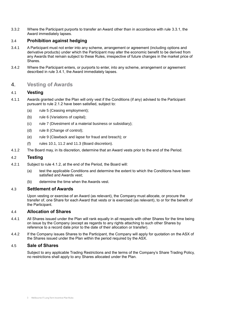3.3.2 Where the Participant purports to transfer an Award other than in accordance with rule [3.3.1,](#page-3-2) the Award immediately lapses.

## 3.4 **Prohibition against hedging**

- <span id="page-4-1"></span>3.4.1 A Participant must not enter into any scheme, arrangement or agreement (including options and derivative products) under which the Participant may alter the economic benefit to be derived from any Awards that remain subject to these Rules, irrespective of future changes in the market price of Shares.
- 3.4.2 Where the Participant enters, or purports to enter, into any scheme, arrangement or agreement described in rule [3.4.1,](#page-4-1) the Award immediately lapses.

## <span id="page-4-0"></span>4. **Vesting of Awards**

## 4.1 **Vesting**

- 4.1.1 Awards granted under the Plan will only vest if the Conditions (if any) advised to the Participant pursuant to rule [2.1.2](#page-2-2) have been satisfied, subject to:
	- (a) rule [5](#page-5-0) (Ceasing employment);
	- (b) rule [6](#page-6-0) (Variations of capital);
	- (c) rule [7](#page-6-1) (Divestment of a material business or subsidiary);
	- (d) rule [8](#page-7-0) (Change of control);
	- (e) rule [9](#page-8-0) (Clawback and lapse for fraud and breach); or
	- (f) rules [10.1,](#page-9-1) [11.2](#page-10-1) and [11.3](#page-11-0) (Board discretion).
- <span id="page-4-2"></span>4.1.2 The Board may, in its discretion, determine that an Award vests prior to the end of the Period.

## 4.2 **Testing**

- 4.2.1 Subject to rule [4.1.2,](#page-4-2) at the end of the Period, the Board will:
	- (a) test the applicable Conditions and determine the extent to which the Conditions have been satisfied and Awards vest;
	- (b) determine the time when the Awards vest.

#### 4.3 **Settlement of Awards**

Upon vesting or exercise of an Award (as relevant), the Company must allocate, or procure the transfer of, one Share for each Award that vests or is exercised (as relevant), to or for the benefit of the Participant.

#### 4.4 **Allocation of Shares**

- 4.4.1 All Shares issued under the Plan will rank equally in all respects with other Shares for the time being on issue by the Company (except as regards to any rights attaching to such other Shares by reference to a record date prior to the date of their allocation or transfer).
- 4.4.2 If the Company issues Shares to the Participant, the Company will apply for quotation on the ASX of the Shares issued under the Plan within the period required by the ASX.

#### 4.5 **Sale of Shares**

Subject to any applicable Trading Restrictions and the terms of the Company's Share Trading Policy, no restrictions shall apply to any Shares allocated under the Plan.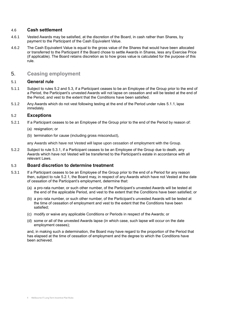## 4.6 **Cash settlement**

- 4.6.1 Vested Awards may be satisfied, at the discretion of the Board, in cash rather than Shares, by payment to the Participant of the Cash Equivalent Value.
- <span id="page-5-4"></span>4.6.2 The Cash Equivalent Value is equal to the gross value of the Shares that would have been allocated or transferred to the Participant if the Board chose to settle Awards in Shares, less any Exercise Price (if applicable). The Board retains discretion as to how gross value is calculated for the purpose of this rule.

## <span id="page-5-0"></span>5. **Ceasing employment**

## <span id="page-5-2"></span>5.1 **General rule**

- <span id="page-5-1"></span>5.1.1 Subject to rules 5.2 and 5.3, if a Participant ceases to be an Employee of the Group prior to the end of a Period, the Participant's unvested Awards will not lapse on cessation and will be tested at the end of the Period, and vest to the extent that the Conditions have been satisfied.
- 5.1.2 Any Awards which do not vest following testing at the end of the Period under rules [5.1.1](#page-5-1), lapse immediately.

## 5.2 **Exceptions**

- 5.2.1 If a Participant ceases to be an Employee of the Group prior to the end of the Period by reason of:
	- (a) resignation; or
	- (b) termination for cause (including gross misconduct),

any Awards which have not Vested will lapse upon cessation of employment with the Group.

5.2.2 Subject to rule 5.3.1, if a Participant ceases to be an Employee of the Group due to death, any Awards which have not Vested will be transferred to the Participant's estate in accordance with all relevant Laws.

#### <span id="page-5-3"></span>5.3 **Board discretion to determine treatment**

- 5.3.1 If a Participant ceases to be an Employee of the Group prior to the end of a Period for any reason then, subject to rule 5.2.1, the Board may, in respect of any Awards which have not Vested at the date of cessation of the Participant's employment, determine that:
	- (a) a pro-rata number, or such other number, of the Participant's unvested Awards will be tested at the end of the applicable Period, and vest to the extent that the Conditions have been satisfied; or
	- (b) a pro rata number, or such other number, of the Participant's unvested Awards will be tested at the time of cessation of employment and vest to the extent that the Conditions have been satisfied;
	- (c) modify or waive any applicable Conditions or Periods in respect of the Awards; or
	- (d) some or all of the unvested Awards lapse (in which case, such lapse will occur on the date employment ceases);

and, in making such a determination, the Board may have regard to the proportion of the Period that has elapsed at the time of cessation of employment and the degree to which the Conditions have been achieved.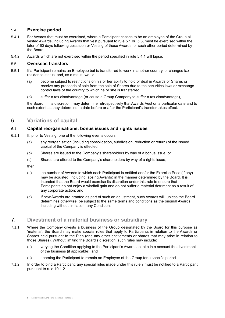## 5.4 **Exercise period**

- <span id="page-6-2"></span>5.4.1 For Awards that must be exercised, where a Participant ceases to be an employee of the Group all vested Awards, including Awards that vest pursuant to rule [5.1](#page-5-2) or [5.3,](#page-5-3) must be exercised within the later of 60 days following cessation or Vesting of those Awards, or such other period determined by the Board.
- 5.4.2 Awards which are not exercised within the period specified in rule [5.4.1](#page-6-2) will lapse.

#### 5.5 **Overseas transfers**

- 5.5.1 If a Participant remains an Employee but is transferred to work in another country, or changes tax residence status, and, as a result, would;
	- (a) become subject to restrictions on his or her ability to hold or deal in Awards or Shares or receive any proceeds of sale from the sale of Shares due to the securities laws or exchange control laws of the country to which he or she is transferred;
	- (b) suffer a tax disadvantage (or cause a Group Company to suffer a tax disadvantage),

the Board, in its discretion, may determine retrospectively that Awards Vest on a particular date and to such extent as they determine, a date before or after the Participant's transfer takes effect.

## <span id="page-6-0"></span>6. **Variations of capital**

## 6.1 **Capital reorganisations, bonus issues and rights issues**

- 6.1.1 If, prior to Vesting, one of the following events occurs:
	- (a) any reorganisation (including consolidation, subdivision, reduction or return) of the issued capital of the Company is effected;
	- (b) Shares are issued to the Company's shareholders by way of a bonus issue; or
	- (c) Shares are offered to the Company's shareholders by way of a rights issue,

then:

- (d) the number of Awards to which each Participant is entitled and/or the Exercise Price (if any) may be adjusted (including lapsing Awards) in the manner determined by the Board. It is intended that the Board would exercise its discretion under this rule to ensure that Participants do not enjoy a windfall gain and do not suffer a material detriment as a result of any corporate action; and
- (e) if new Awards are granted as part of such an adjustment, such Awards will, unless the Board determines otherwise, be subject to the same terms and conditions as the original Awards, including without limitation, any Condition.

# <span id="page-6-1"></span>7. **Divestment of a material business or subsidiary**

- 7.1.1 Where the Company divests a business of the Group designated by the Board for this purpose as 'material', the Board may make special rules that apply to Participants in relation to the Awards or Shares held pursuant to the Plan (and any other entitlements or shares that may arise in relation to those Shares). Without limiting the Board's discretion, such rules may include:
	- (a) varying the Condition applying to the Participant's Awards to take into account the divestment of the business (if applicable); and
	- (b) deeming the Participant to remain an Employee of the Group for a specific period.
- 7.1.2 In order to bind a Participant, any special rules made under this rule [7](#page-6-1) must be notified to a Participant pursuant to rule [10.1.2.](#page-9-2)

<sup>5</sup> Melbourne IT Long Term Incentive Plan Rules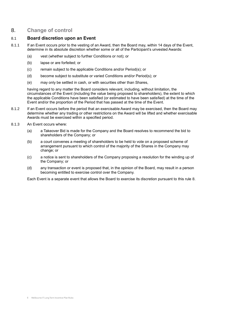# <span id="page-7-0"></span>8. **Change of control**

## 8.1 **Board discretion upon an Event**

- <span id="page-7-1"></span>8.1.1 If an Event occurs prior to the vesting of an Award, then the Board may, within 14 days of the Event, determine in its absolute discretion whether some or all of the Participant's unvested Awards:
	- (a) vest (whether subject to further Conditions or not); or
	- (b) lapse or are forfeited; or
	- (c) remain subject to the applicable Conditions and/or Period(s); or
	- (d) become subject to substitute or varied Conditions and/or Period(s); or
	- (e) may only be settled in cash, or with securities other than Shares,

having regard to any matter the Board considers relevant, including, without limitation, the circumstances of the Event (including the value being proposed to shareholders), the extent to which the applicable Conditions have been satisfied (or estimated to have been satisfied) at the time of the Event and/or the proportion of the Period that has passed at the time of the Event.

- 8.1.2 If an Event occurs before the period that an exercisable Award may be exercised, then the Board may determine whether any trading or other restrictions on the Award will be lifted and whether exercisable Awards must be exercised within a specified period.
- <span id="page-7-2"></span>8.1.3 An Event occurs where:
	- (a) a Takeover Bid is made for the Company and the Board resolves to recommend the bid to shareholders of the Company; or
	- (b) a court convenes a meeting of shareholders to be held to vote on a proposed scheme of arrangement pursuant to which control of the majority of the Shares in the Company may change; or
	- (c) a notice is sent to shareholders of the Company proposing a resolution for the winding up of the Company; or
	- (d) any transaction or event is proposed that, in the opinion of the Board, may result in a person becoming entitled to exercise control over the Company.

Each Event is a separate event that allows the Board to exercise its discretion pursuant to this rule [8.](#page-7-0)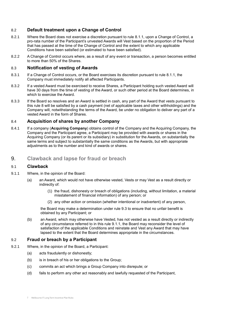## 8.2 **Default treatment upon a Change of Control**

- 8.2.1 Where the Board does not exercise a discretion pursuant to rule [8.1.1,](#page-7-1) upon a Change of Control, a pro-rata number of the Participant's unvested Awards will Vest based on the proportion of the Period that has passed at the time of the Change of Control and the extent to which any applicable Conditions have been satisfied (or estimated to have been satisfied).
- <span id="page-8-4"></span>8.2.2 A Change of Control occurs where, as a result of any event or transaction, a person becomes entitled to more than 50% of the Shares.

## 8.3 **Notification of vesting of Awards**

- 8.3.1 If a Change of Control occurs, or the Board exercises its discretion pursuant to rule [8.1.1,](#page-7-1) the Company must immediately notify all affected Participants.
- 8.3.2 If a vested Award must be exercised to receive Shares, a Participant holding such vested Award will have 30 days from the time of vesting of the Award, or such other period at the Board determines, in which to exercise the Award.
- 8.3.3 If the Board so resolves and an Award is settled in cash, any part of the Award that vests pursuant to this rule [8](#page-7-0) will be satisfied by a cash payment (net of applicable taxes and other withholdings) and the Company will, notwithstanding the terms of the Award, be under no obligation to deliver any part of a vested Award in the form of Shares.

## 8.4 **Acquisition of shares by another Company**

8.4.1 If a company (**Acquiring Company**) obtains control of the Company and the Acquiring Company, the Company and the Participant agree, a Participant may be provided with awards or shares in the Acquiring Company (or its parent or its subsidiary) in substitution for the Awards, on substantially the same terms and subject to substantially the same conditions as the Awards, but with appropriate adjustments as to the number and kind of awards or shares.

## <span id="page-8-0"></span>9. **Clawback and lapse for fraud or breach**

#### <span id="page-8-2"></span>9.1 **Clawback**

- <span id="page-8-1"></span>9.1.1 Where, in the opinion of the Board:
	- (a) an Award, which would not have otherwise vested, Vests or may Vest as a result directly or indirectly of:
		- (1) the fraud, dishonesty or breach of obligations (including, without limitation, a material misstatement of financial information) of any person; or
		- (2) any other action or omission (whether intentional or inadvertent) of any person,

the Board may make a determination under rule [9.3](#page-9-3) to ensure that no unfair benefit is obtained by any Participant; or

(b) an Award, which may otherwise have Vested, has not vested as a result directly or indirectly of any circumstance referred to in this rule [9.1.1,](#page-8-1) the Board may reconsider the level of satisfaction of the applicable Conditions and reinstate and Vest any Award that may have lapsed to the extent that the Board determines appropriate in the circumstances.

## <span id="page-8-3"></span>9.2 **Fraud or breach by a Participant**

- 9.2.1 Where, in the opinion of the Board, a Participant:
	- (a) acts fraudulently or dishonestly;
	- (b) is in breach of his or her obligations to the Group;
	- (c) commits an act which brings a Group Company into disrepute; or
	- (d) fails to perform any other act reasonably and lawfully requested of the Participant,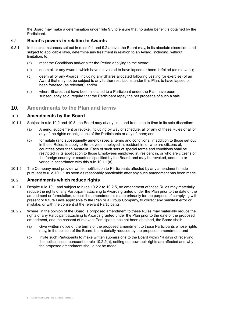<span id="page-9-3"></span>the Board may make a determination under rule [9.3](#page-9-3) to ensure that no unfair benefit is obtained by the Participant.

## 9.3 **Board's powers in relation to Awards**

- 9.3.1 In the circumstances set out in rules [9.1](#page-8-2) and [9.2](#page-8-3) above, the Board may, in its absolute discretion, and subject to applicable laws, determine any treatment in relation to an Award, including, without limitation, to:
	- (a) reset the Conditions and/or alter the Period applying to the Award;
	- (b) deem all or any Awards which have not vested to have lapsed or been forfeited (as relevant);
	- (c) deem all or any Awards, including any Shares allocated following vesting (or exercise) of an Award that may not be subject to any further restrictions under this Plan, to have lapsed or been forfeited (as relevant); and/or
	- (d) where Shares that have been allocated to a Participant under the Plan have been subsequently sold, require that the Participant repay the net proceeds of such a sale.

## <span id="page-9-0"></span>10. **Amendments to the Plan and terms**

## <span id="page-9-1"></span>10.1 **Amendments by the Board**

- <span id="page-9-5"></span>10.1.1 Subject to rule [10.2](#page-9-4) and [10.3,](#page-10-2) the Board may at any time and from time to time in its sole discretion:
	- (a) Amend, supplement or revoke, including by way of schedule, all or any of these Rules or all or any of the rights or obligations of the Participants or any of them; and
	- (b) formulate (and subsequently amend) special terms and conditions, in addition to those set out in these Rules, to apply to Employees employed in, resident in, or who are citizens of, countries other than Australia. Each of such sets of special terms and conditions shall be restricted in its application to those Employees employed in, resident in, or who are citizens of the foreign country or countries specified by the Board, and may be revoked, added to or varied in accordance with this rule [10.1.1\(a\).](#page-9-5)
- <span id="page-9-2"></span>10.1.2 The Company must provide written notification to Participants affected by any amendment made pursuant to rule [10.1.1](#page-9-5) as soon as reasonably practicable after any such amendment has been made.

#### <span id="page-9-4"></span>10.2 **Amendments which reduce rights**

- 10.2.1 Despite rule [10.1](#page-9-1) and subject to rules [10.2.2](#page-9-6) to [10.2.5,](#page-10-3) no amendment of these Rules may materially reduce the rights of any Participant attaching to Awards granted under the Plan prior to the date of the amendment or formulation, unless the amendment is made primarily for the purpose of complying with present or future Laws applicable to the Plan or a Group Company, to correct any manifest error or mistake, or with the consent of the relevant Participants.
- <span id="page-9-6"></span>10.2.2 Where, in the opinion of the Board, a proposed amendment to these Rules may materially reduce the rights of any Participant attaching to Awards granted under the Plan prior to the date of the proposed amendment, and the consent of relevant Participants has not been obtained, the Board shall:
	- (a) Give written notice of the terms of the proposed amendment to those Participants whose rights may, in the opinion of the Board, be materially reduced by the proposed amendment; and
	- (b) Invite such Participants to make written submissions to the Board within 14 days of receiving the notice issued pursuant to rule [10.2.2\(a\),](#page-9-6) setting out how their rights are affected and why the proposed amendment should not be made.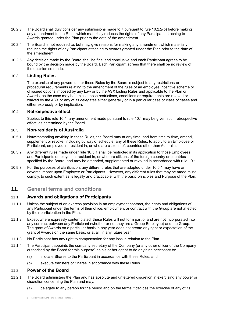- 10.2.3 The Board shall duly consider any submissions made to it pursuant to rule [10.2.2\(b\)](#page-9-6) before making any amendment to the Rules which materially reduces the rights of any Participant attaching to Awards granted under the Plan prior to the date of the amendment.
- 10.2.4 The Board is not required to, but may, give reasons for making any amendment which materially reduces the rights of any Participant attaching to Awards granted under the Plan prior to the date of the amendment.
- <span id="page-10-3"></span>10.2.5 Any decision made by the Board shall be final and conclusive and each Participant agrees to be bound by the decision made by the Board. Each Participant agrees that there shall be no review of the decision so made.

## 10.3 **Listing Rules**

<span id="page-10-2"></span>The exercise of any powers under these Rules by the Board is subject to any restrictions or procedural requirements relating to the amendment of the rules of an employee incentive scheme or of issued options imposed by any Law or by the ASX Listing Rules and applicable to the Plan or Awards, as the case may be, unless those restrictions, conditions or requirements are relaxed or waived by the ASX or any of its delegates either generally or in a particular case or class of cases and either expressly or by implication.

#### 10.4 **Retrospective effect**

<span id="page-10-4"></span>Subject to this rule [10.4,](#page-10-4) any amendment made pursuant to rule [10.1](#page-9-1) may be given such retrospective effect, as determined by the Board.

## 10.5 **Non-residents of Australia**

- <span id="page-10-5"></span>10.5.1 Notwithstanding anything in these Rules, the Board may at any time, and from time to time, amend, supplement or revoke, including by way of schedule, any of these Rules, to apply to an Employee or Participant, employed in, resident in, or who are citizens of, countries other than Australia.
- 10.5.2 Any different rules made under rule [10.5.1](#page-10-5) shall be restricted in its application to those Employees and Participants employed in, resident in, or who are citizens of the foreign country or countries specified by the Board, and may be amended, supplemented or revoked in accordance with rule [10.1.](#page-9-1)
- 10.5.3 For the purposes of clarification, any different rules that are adopted under [10.5.1](#page-10-5) may have an adverse impact upon Employee or Participants. However, any different rules that may be made must comply, to such extent as is legally and practicable, with the basic principles and Purpose of the Plan.

## <span id="page-10-0"></span>11. **General terms and conditions**

## 11.1 **Awards and obligations of Participants**

- 11.1.1 Unless the subject of an express provision in an employment contract, the rights and obligations of any Participant under the terms of their office, employment or contract with the Group are not affected by their participation in the Plan.
- 11.1.2 Except where expressly contemplated, these Rules will not form part of and are not incorporated into any contract between any Participant (whether or not they are a Group Employee) and the Group. The grant of Awards on a particular basis in any year does not create any right or expectation of the grant of Awards on the same basis, or at all, in any future year.
- 11.1.3 No Participant has any right to compensation for any loss in relation to the Plan.
- 11.1.4 The Participant appoints the company secretary of the Company (or any other officer of the Company authorised by the Board for this purpose) as his or her agent to do anything necessary to:
	- (a) allocate Shares to the Participant in accordance with these Rules; and
	- (b) execute transfers of Shares in accordance with these Rules.

## <span id="page-10-1"></span>11.2 **Power of the Board**

- 11.2.1 The Board administers the Plan and has absolute and unfettered discretion in exercising any power or discretion concerning the Plan and may:
	- (a) delegate to any person for the period and on the terms it decides the exercise of any of its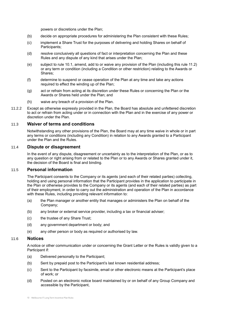powers or discretions under the Plan;

- (b) decide on appropriate procedures for administering the Plan consistent with these Rules;
- (c) implement a Share Trust for the purposes of delivering and holding Shares on behalf of Participants;
- (d) resolve conclusively all questions of fact or interpretation concerning the Plan and these Rules and any dispute of any kind that arises under the Plan;
- (e) subject to rule 10.1, amend, add to or waive any provision of the Plan (including this rule [11.2\)](#page-10-1) or any term or condition (including a Condition or other restriction) relating to the Awards or Shares;
- (f) determine to suspend or cease operation of the Plan at any time and take any actions required to effect the winding up of the Plan;
- (g) act or refrain from acting at its discretion under these Rules or concerning the Plan or the Awards or Shares held under the Plan; and
- (h) waive any breach of a provision of the Plan.
- 11.2.2 Except as otherwise expressly provided in the Plan, the Board has absolute and unfettered discretion to act or refrain from acting under or in connection with the Plan and in the exercise of any power or discretion under the Plan.

#### 11.3 **Waiver of terms and conditions**

<span id="page-11-0"></span>Notwithstanding any other provisions of the Plan, the Board may at any time waive in whole or in part any terms or conditions (including any Condition) in relation to any Awards granted to a Participant under the Plan and the Rules.

#### 11.4 **Dispute or disagreement**

In the event of any dispute, disagreement or uncertainty as to the interpretation of the Plan, or as to any question or right arising from or related to the Plan or to any Awards or Shares granted under it, the decision of the Board is final and binding.

#### 11.5 **Personal information**

The Participant consents to the Company or its agents (and each of their related parties) collecting, holding and using personal information that the Participant provides in the application to participate in the Plan or otherwise provides to the Company or its agents (and each of their related parties) as part of their employment, in order to carry out the administration and operation of the Plan in accordance with these Rules, including providing relevant information to:

- (a) the Plan manager or another entity that manages or administers the Plan on behalf of the Company;
- (b) any broker or external service provider, including a tax or financial adviser;
- (c) the trustee of any Share Trust;
- (d) any government department or body; and
- (e) any other person or body as required or authorised by law.

#### 11.6 **Notices**

A notice or other communication under or concerning the Grant Letter or the Rules is validly given to a Participant if:

- (a) Delivered personally to the Participant;
- (b) Sent by prepaid post to the Participant's last known residential address;
- (c) Sent to the Participant by facsimile, email or other electronic means at the Participant's place of work; or
- (d) Posted on an electronic notice board maintained by or on behalf of any Group Company and accessible by the Participant,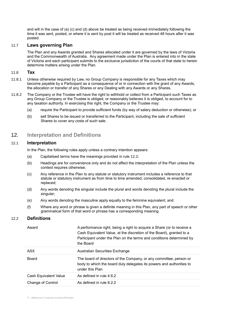and will in the case of (a) (c) and (d) above be treated as being received immediately following the time it was sent, posted, or where it is sent by post it will be treated as received 48 hours after it was posted.

## 11.7 **Laws governing Plan**

The Plan and any Awards granted and Shares allocated under it are governed by the laws of Victoria and the Commonwealth of Australia. Any agreement made under the Plan is entered into in the state of Victoria and each participant submits to the exclusive jurisdiction of the courts of that state to herein determine matters arising under the Plan.

## 11.8 **Tax**

- 11.8.1 Unless otherwise required by Law, no Group Company is responsible for any Taxes which may become payable by a Participant as a consequence of or in connection with the grant of any Awards, the allocation or transfer of any Shares or any Dealing with any Awards or any Shares.
- 11.8.2 The Company or the Trustee will have the right to withhold or collect from a Participant such Taxes as any Group Company or the Trustee is obliged, or reasonably believes it is obliged, to account for to any taxation authority. In exercising this right, the Company or the Trustee may:
	- (a) require the Participant to provide sufficient funds (by way of salary deduction or otherwise); or
	- (b) sell Shares to be issued or transferred to the Participant, including the sale of sufficient Shares to cover any costs of such sale.

## <span id="page-12-0"></span>12. **Interpretation and Definitions**

## 12.1 **Interpretation**

In the Plan, the following rules apply unless a contrary intention appears:

- (a) Capitalised terms have the meanings provided in rule 12.2;
- (b) Headings are for convenience only and do not affect the interpretation of the Plan unless the context requires otherwise;
- (c) Any reference in the Plan to any statute or statutory instrument includes a reference to that statute or statutory instrument as from time to time amended, consolidated, re-enacted or replaced;
- (d) Any words denoting the singular include the plural and words denoting the plural include the singular;
- (e) Any words denoting the masculine apply equally to the feminine equivalent; and
- (f) Where any word or phrase is given a definite meaning in this Plan, any part of speech or other grammatical form of that word or phrase has a corresponding meaning.

## 12.2 **Definitions**

| Award                 | A performance right, being a right to acquire a Share (or to receive a<br>Cash Equivalent Value, at the discretion of the Board), granted to a<br>Participant under the Plan on the terms and conditions determined by<br>the Board |
|-----------------------|-------------------------------------------------------------------------------------------------------------------------------------------------------------------------------------------------------------------------------------|
| <b>ASX</b>            | Australian Securities Exchange                                                                                                                                                                                                      |
| <b>Board</b>          | The board of directors of the Company, or any committee, person or<br>body to which the board duly delegates its powers and authorities to<br>under this Plan                                                                       |
| Cash Equivalent Value | As defined in rule 4.6.2                                                                                                                                                                                                            |
| Change of Control     | As defined in rule 8.2.2                                                                                                                                                                                                            |
|                       |                                                                                                                                                                                                                                     |

11 Melbourne IT Long Term Incentive Plan Rules